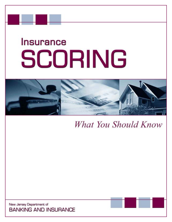# **Insurance** SCORING



What You Should Know

New Jersey Department of **BANKING AND INSURANCE**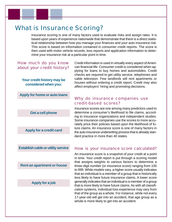# What is Insurance Scoring?

Insurance scoring is one of many factors used to evaluate risks and assign rates. It is based upon years of experience nationwide that demonstrate that there is a direct statistical relationship between how you manage your finances and your auto insurance risk. This score is based on information contained in consumer credit reports. The score is then used with motor vehicle records, loss reports and application information to determine your insurance risk at a particular point in time.

#### How much do you know about your credit history?

**Your credit history may be considered when you:**

**Apply for home or auto loans**

**Get a cell phone**

**Apply for a credit card**

**Establish cable or utility service**

**Rent an apartment or house**

#### **Apply for a job**

Credit information is used in virtually every aspect of American financial life. Consumer credit is considered when applying for loans to buy homes and automobiles. Credit checks are required to get utility service, telephones and cable television. Few landlords will rent apartments or houses without ordering a credit report. Credit may also affect employers' hiring and promoting decisions.

### Why do insurance companies use credit-based scores?

Insurance scores are one among many predictors used to determine a consumer's likelihood to file claims, according to insurance organizations and independent studies. Some insurance companies use the scores to more accurately price their policies based upon the likelihood of future claims. An insurance score is one of many factors in the auto insurance underwriting process that is already standard practice in more than 40 states.

#### How is your insurance score calculated?

An insurance score is a snapshot of your credit at a point in time. Your credit report is put through a scoring model that assigns weights to various factors to determine a three-digit number (or insurance score) ranging from 100 to 999. While models vary, a higher score usually indicates that an individual is a member of a group that is historically less likely to have future insurance claims. A lower score generally indicates that an individual is a member of a group that is more likely to have future claims. As with all classification systems, individual loss experience may vary from that of the group as a whole. For instance, while not every 17-year-old will get into an accident, that age group as a whole is more likely to get into an accident.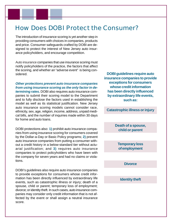## How Does DOBI Protect the Consumer?

The introduction of insurance scoring is yet another step in providing consumers with choices in companies, products and price. Consumer safeguards crafted by DOBI are designed to protect the interest of New Jersey auto insurance policyholders, and encourage competition.

Auto insurance companies that use insurance scoring must notify policyholders of the practice, the factors that affect the scoring, and whether an "adverse event" is being considered.

*Other protections prevent auto insurance companies from using insurance scoring as the only factor in determining rates.* DOBI also requires auto insurance companies to submit their scoring model to the Department and to fully disclose the factors used in establishing the model as well as its statistical justification. New Jersey auto insurance scoring models cannot consider race, ethnicity, sex, age, religion, income, address, unpaid medical bills, and the number of inquiries made within 30 days for home and auto loans.

DOBI protections also: **1)** prohibit auto insurance companies from using insurance scoring for consumers covered by the Dollar-a-Day or Basic Policy programs; **2)** prevent auto insurance companies from putting a consumer without a credit history in a below-standard tier without actuarial justification; and **3)** requires auto insurance companies to protect policyholders who have been with the company for seven years and had no claims or violations.

DOBI's guidelines also require auto insurance companies to provide exceptions for consumers whose credit information has been directly influenced by extraordinary life events, such as catastrophic illness or injury; death of a spouse, child or parent; temporary loss of employment; divorce; or identity theft. In such cases, auto insurance companies may consider only credit information that is not affected by the event or shall assign a neutral insurance score.

**DOBI guidelines require auto insurance companies to provide exceptions for consumers whose credit information has been directly influenced by extraordinary life events, such as:**

**Catastrophic illness or injury**

**Death of a spouse, child or parent**

**Temporary loss of employment**

**Divorce**

**Identity theft**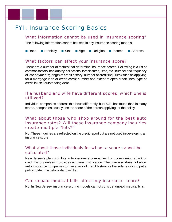## FYI: Insurance Scoring Basics

#### What information cannot be used in insurance scoring?

The following information cannot be used in any insurance scoring models:

■ Race ■ Ethnicity ■ Sex ■ Age ■ Religion ■ Income ■ Address

#### What factors can affect your insurance score?

There are a number of factors that determine insurance scores. Following is a list of common factors: bankruptcy, collections, foreclosures, liens, etc.; number and frequency of late payments; length of credit history; number of credit inquiries (such as applying for a mortgage loan or credit card); number and extent of open credit lines; type of credit in use; outstanding debt.

#### If a husband and wife have different scores, which one is utilized?

Individual companies address this issue differently, but DOBI has found that, in many states, companies usually use the score of the person applying for the policy.

## What about those who shop around for the best auto insurance rates? Will those insurance company inquiries create multiple "hits?"

No. These inquiries are reflected on the credit report but are not used in developing an insurance score.

#### What about those individuals for whom a score cannot be calculated?

New Jersey's plan prohibits auto insurance companies from considering a lack of credit history unless it provides actuarial justification. The plan also does not allow auto insurance companies to use a lack of credit history as the sole reason to put a policyholder in a below-standard tier.

#### Can unpaid medical bills affect my insurance score?

No. In New Jersey, insurance scoring models cannot consider unpaid medical bills.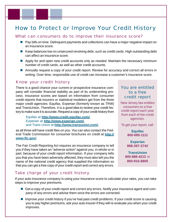## How to Protect or Improve Your Credit History

#### What can consumers do to improve their insurance score?

- **Pay bills on time. Delinguent payments and collections can have a major negative impact on** an insurance score.
- Keep balances low on unsecured revolving debt, such as credit cards. High outstanding debt can affect an insurance score.
- Apply for and open new credit accounts only as needed. Maintain the necessary minimum number of credit cards, as well as other credit accounts.
- Annually request a copy of your credit report. Review for accuracy and correct all errors in writing. Over time, responsible use of credit can increase a customer's insurance score.

#### Know your credit history

There is a good chance your current or prospective insurance company will consider financial stability as part of its underwriting process. Insurance scores are based on information from consumer credit reports that insurers or statistical modelers get from the three major credit agencies: Equifax, Experian (formerly known as TRW) and TransUnion. Therefore, it is a good idea to review your credit history to make sure it is accurate. Request a copy of your credit history from

> Equifax at **[http://www.credit.equifax.com/](http://www.credit.equifax.com)**, Experian at **[http://www.experian.com/](http://www.experian.com/freestate)**, and Trans Union at **[http://www.transunion.com/](http://www.transunion.com)**,

as all three will have credit files on you. You can also contact the Federal Trade Commission for consumer brochures on credit at **http:// [www.ftc.gov/](http://www.ftc.gov)**.

The Fair Credit Reporting Act requires an insurance company to tell you if they have taken an "adverse action" against you, in whole or in part, because of your credit report information. If your company tells you that you have been adversely affected, they must also tell you the name of the national credit agency that supplied the information so that you can get a free copy of your credit report and correct any errors.

### You are entitled to a free credit report

New Jersey law entitles consumers to a free credit report each year from each of the credit agencies.

To get your report, call:

**Equifax 800-685-1111**

**Experian 888-397-3742**

**TransUnion 800-888-4213** or **800-916-8800**

### Take charge of your credit history

If your auto insurance company is using your insurance score to calculate your rates, you can take steps to improve your premiums.

- Get a copy of your credit report and correct any errors. Notify your insurance agent and company of any errors and advise them once the errors are corrected.
- **If Improve your credit history if you've had past credit problems. If your credit score is causing** you to pay higher premiums, ask your auto insurer if they will re-evaluate you when your credit improves.